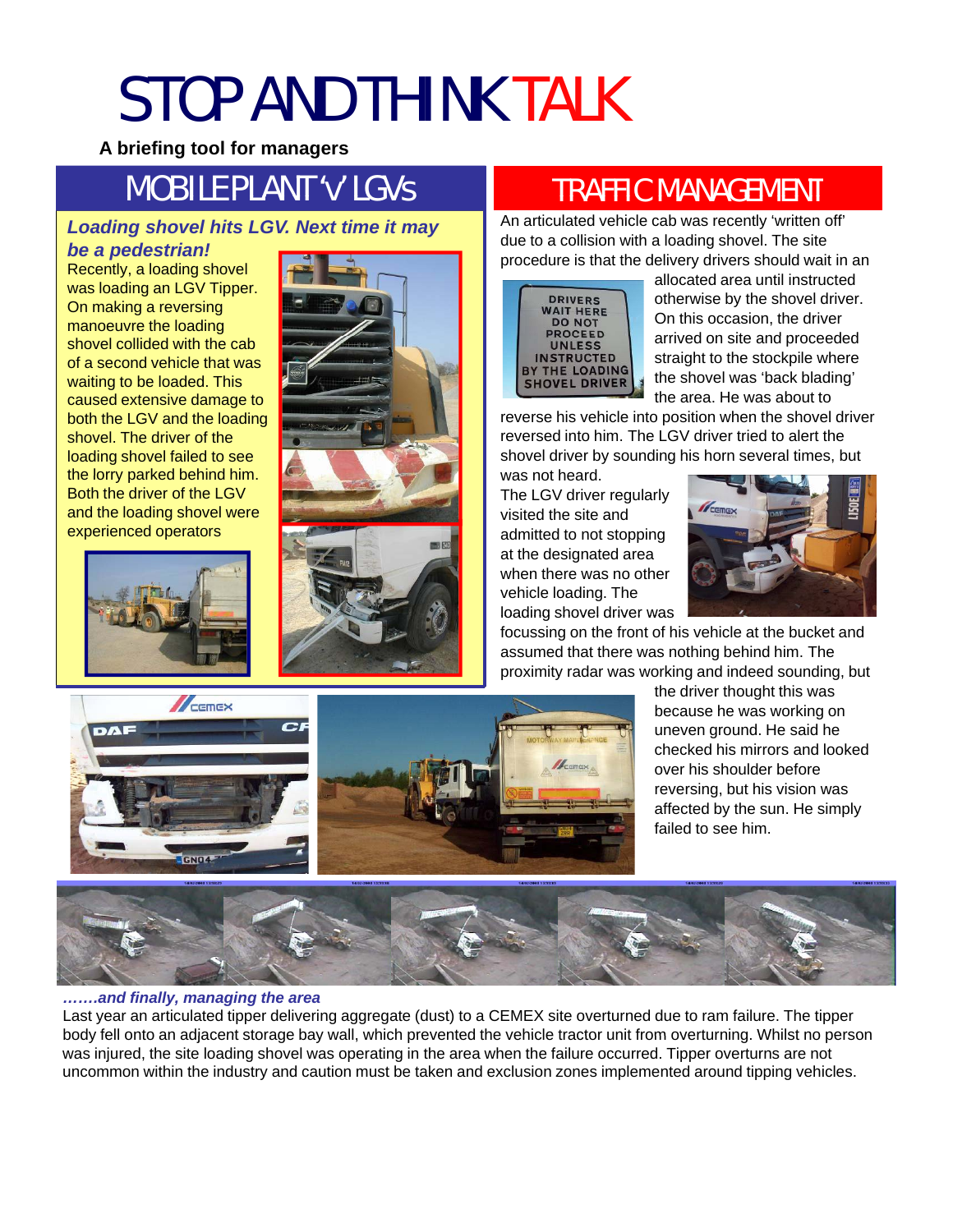## STOP AND THINK TALK

**A briefing tool for managers**

## **MOBILE PLANT 'v' LGVS**

#### *Loading shovel hits LGV. Next time it may*

*be a pedestrian!*

Recently, a loading shovel was loading an LGV Tipper. On making a reversing manoeuvre the loading shovel collided with the cab of a second vehicle that was waiting to be loaded. This caused extensive damage to both the LGV and the loading shovel. The driver of the loading shovel failed to see the lorry parked behind him. **The low was not heard.** We was not heard. Both the driver of the LGV and the loading shovel were experienced operators





### TRAFFIC MANAGEMENT

An articulated vehicle cab was recently 'written off' due to a collision with a loading shovel. The site procedure is that the delivery drivers should wait in an



allocated area until instructed otherwise by the shovel driver. On this occasion, the driver arrived on site and proceeded arrived on site and straight to the stockpile where the shovel was 'back blading' the area. He was about to

reverse his vehicle into position when the shovel driver reversed into him. The LGV driver tried to alert the shovel driver by sounding his horn several times, but was not heard

The LGV driver regularly visited the site and admitted to not stopping at the designated area when there was no other vehicle loading. The loading shovel driver was loading shovel driver



focussing on the front of his vehicle at the bucket and assumed that there was nothing behind him. The proximity radar was working and indeed sounding, but



the driver thought this was because he was working on uneven ground. He said he checked his mirrors and looked over his shoulder before reversing, but his vision was affected by the sun. He simply failed to see him.



#### *…….and finally, managing the area*

Last year an articulated tipper delivering aggregate (dust) to a CEMEX site overturned due to ram failure. The tipper body fell onto an adjacent storage bay wall, which prevented the vehicle tractor unit from overturning. Whilst no person was injured, the site loading shovel was operating in the area when the failure occurred. Tipper overturns are not uncommon within the industry and caution must be taken and exclusion zones implemented around tipping vehicles.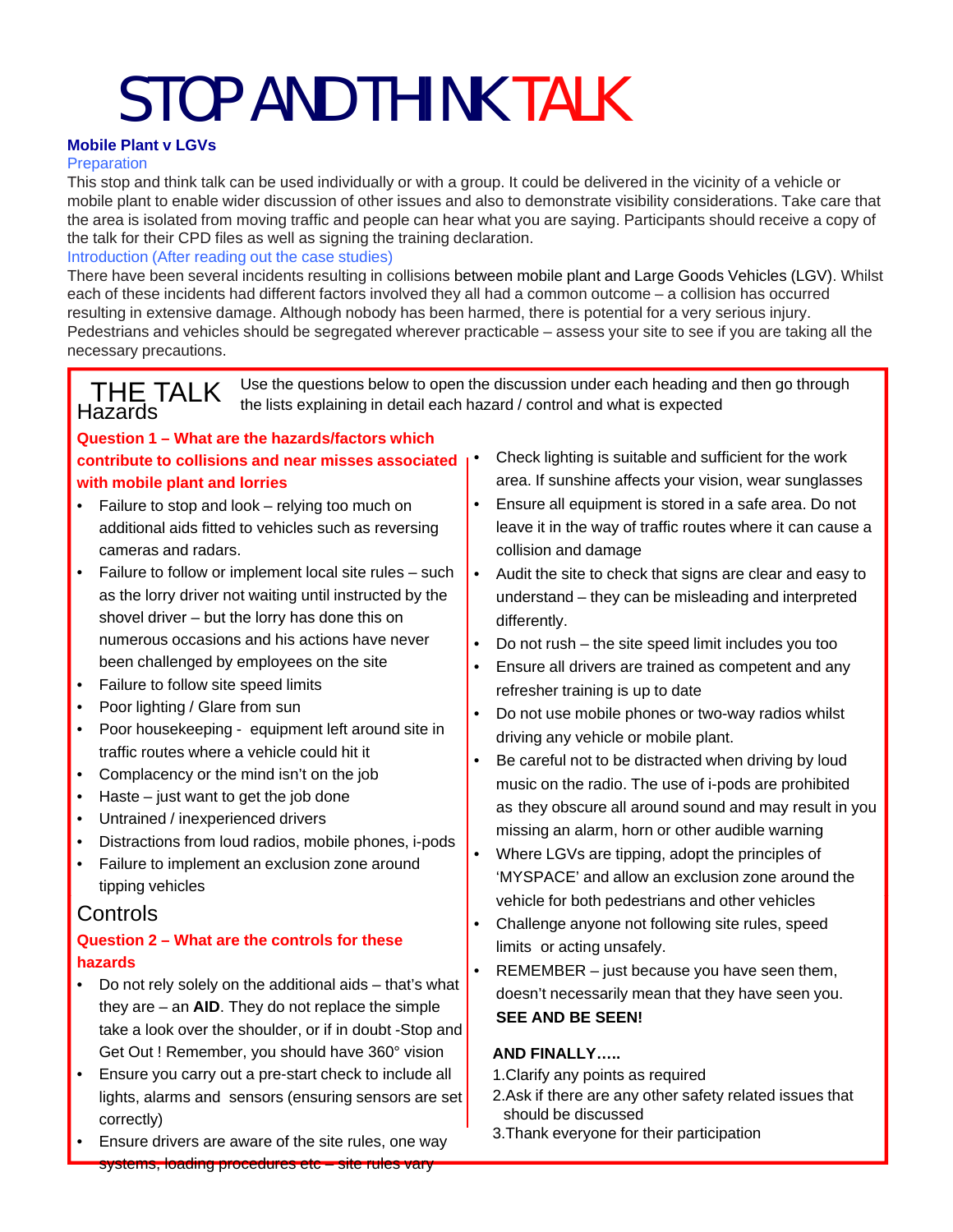# STOP AND THINK TALK

#### **Mobile Plant v LGVs**

#### **Preparation**

This stop and think talk can be used individually or with a group. It could be delivered in the vicinity of a vehicle or mobile plant to enable wider discussion of other issues and also to demonstrate visibility considerations. Take care that the area is isolated from moving traffic and people can hear what you are saying. Participants should receive a copy of the talk for their CPD files as well as signing the training declaration.

#### Introduction (After reading out the case studies)

There have been several incidents resulting in collisions between mobile plant and Large Goods Vehicles (LGV). Whilst each of these incidents had different factors involved they all had a common outcome – a collision has occurred resulting in extensive damage. Although nobody has been harmed, there is potential for a very serious injury. Pedestrians and vehicles should be segregated wherever practicable – assess your site to see if you are taking all the necessary precautions.

### THE TALK Use the questions below to open the discussion under each heading and then go through<br>Hazards the lists explaining in detail each hazard / control and what is expected

#### **Question 1 – What are the hazards/factors which contribute to collisions and near misses associated** • Check lighting is suitable and sufficient for the work with mobile plant and lorries **If the Community of the interval is a**rea. If sunshine affects your vision, wear sunglasses

- Failure to stop and look relying too much on additional aids fitted to vehicles such as reversing cameras and radars.
- Failure to follow or implement local site rules such as the lorry driver not waiting until instructed by the shovel driver – but the lorry has done this on **shovel differentl** numerous occasions and his actions have never been challenged by employees on the site
- Failure to follow site speed limits
- Poor lighting / Glare from sun
- Poor housekeeping equipment left around site in traffic routes where a vehicle could hit it
- 
- Haste  $-$  just want to get the job done
- Untrained / inexperienced drivers
- Distractions from loud radios, mobile phones, i-pods
- Failure to implement an exclusion zone around tipping vehicles

#### **Question 2 – What are the controls for these hazards**

- Do not rely solely on the additional aids that's what they are – an **AID**. They do not replace the simple take a look over the shoulder, or if in doubt -Stop and **SEE AND BE SEEN!** Get Out ! Remember, you should have 360° vision
- Ensure you carry out a pre-start check to include all lights, alarms and sensors (ensuring sensors are set correctly)
- Ensure drivers are aware of the site rules, one way systems, loading procedures etc – site rules vary
- 
- Ensure all equipment is stored in a safe area. Do not leave it in the way of traffic routes where it can cause a collision and damage
- Audit the site to check that signs are clear and easy to understand – they can be misleading and interpreted differently.
- Do not rush the site speed limit includes you too
- Ensure all drivers are trained as competent and any refresher training is up to date
- Do not use mobile phones or two-way radios whilst driving any vehicle or mobile plant.
- traffic routes where a vehicle could hit it<br>• Be careful not to be distracted when driving by loud<br>• Complacency or the mind isn't on the job music on the radio. The use of i-pods are prohibited as they obscure all around sound and may result in you missing an alarm, horn or other audible warning
- Where LGVs are tipping, adopt the principles of 'MYSPACE' and allow an exclusion zone around the him is the destrians and other vehicles<br> **Controls**<br> **Controls**<br> **Controls** 
	- Challenge anyone not following site rules, speed limits or acting unsafely.
	- REMEMBER just because you have seen them, doesn't necessarily mean that they have seen you.

#### **AND FINALLY…..**

- 1.Clarify any points as required
- 2.Ask if there are any other safety related issues that should be discussed
- 3.Thank everyone for their participation